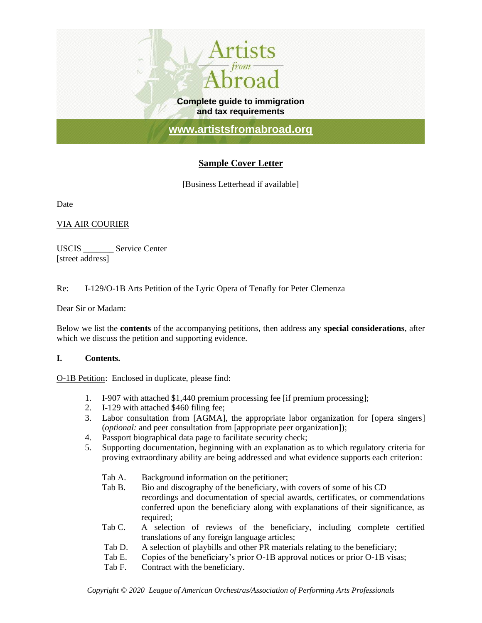

# **Sample Cover Letter**

[Business Letterhead if available]

Date

## VIA AIR COURIER

USCIS \_\_\_\_\_\_\_ Service Center [street address]

Re: I-129/O-1B Arts Petition of the Lyric Opera of Tenafly for Peter Clemenza

Dear Sir or Madam:

Below we list the **contents** of the accompanying petitions, then address any **special considerations**, after which we discuss the petition and supporting evidence.

## **I. Contents.**

O-1B Petition: Enclosed in duplicate, please find:

- 1. I-907 with attached \$1,440 premium processing fee [if premium processing];
- 2. I-129 with attached \$460 filing fee;
- 3. Labor consultation from [AGMA], the appropriate labor organization for [opera singers] (*optional:* and peer consultation from [appropriate peer organization]);
- 4. Passport biographical data page to facilitate security check;
- 5. Supporting documentation, beginning with an explanation as to which regulatory criteria for proving extraordinary ability are being addressed and what evidence supports each criterion:
	- Tab A. Background information on the petitioner;
	- Tab B. Bio and discography of the beneficiary, with covers of some of his CD recordings and documentation of special awards, certificates, or commendations conferred upon the beneficiary along with explanations of their significance, as required;
	- Tab C. A selection of reviews of the beneficiary, including complete certified translations of any foreign language articles;
	- Tab D. A selection of playbills and other PR materials relating to the beneficiary;
	- Tab E. Copies of the beneficiary's prior O-1B approval notices or prior O-1B visas;
	- Tab F. Contract with the beneficiary.